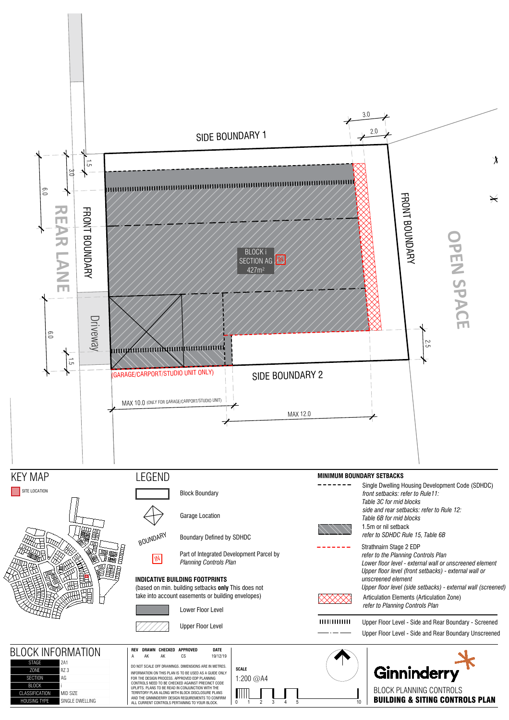